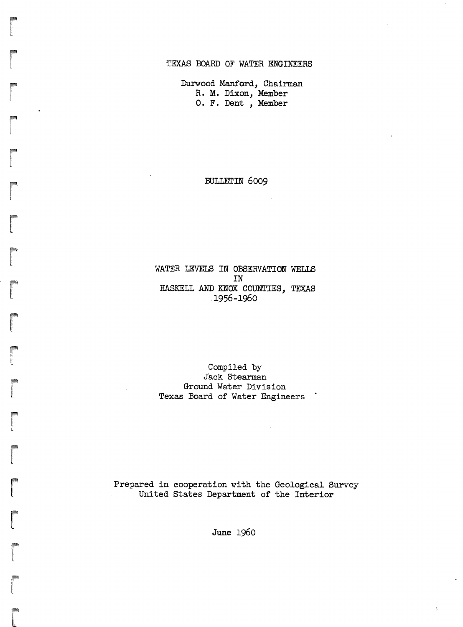### TEXAS BOARD OF WATER ENGINEERS

Durwood Manford, Chairman R. M. Dixon, Member O.F. Dent , Member

r

r

r

r

#### BULLETIN 6009

### WATER .LEVELS IN OBSERVATION WELLS IN HASKELL AND KNOX COUNTIES, TEXAS .1956-1960

### Compiled by Jack Stearman Ground Water Division Texas Board of Water Engineers

Prepared in cooperation with the Geological Survey United states Department of the Interior

June 1960

Å.

 $\mathbf{r}$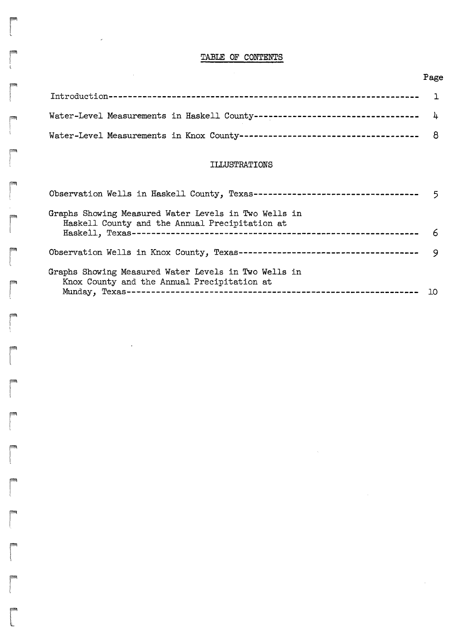# TABLE OF CONTENTS

r<br>Frans (1990)<br>Contractor (1990)

÷.

 $\sim$ 

 $\ddot{\phantom{0}}$ 

r

r<br>Fødsler<br>Starten og Santa Starten og Santa Starten og Santa Starten og Santa Starten og Santa Starten og Santa Starten

r

r

r

ra 1999<br>|<br>|

r\

**reduced**<br>and the contract of the contract of the contract of the contract of the contract of the contract of the contract of the contract of the contract of the contract of the contract of the contract of the contract of

r

r

| <b>TESTING</b> |                                                                                |  |
|----------------|--------------------------------------------------------------------------------|--|
| <b>STAR</b>    | Water-Level Measurements in Haskell County---------------------------------- 4 |  |
|                |                                                                                |  |

## ILLUSTRATIONS

| Observation Wells in Haskell County, Texas-----------------------------------                          |     |
|--------------------------------------------------------------------------------------------------------|-----|
| Graphs Showing Measured Water Levels in Two Wells in<br>Haskell County and the Annual Precipitation at |     |
|                                                                                                        | -6  |
|                                                                                                        | - 9 |
| Graphs Showing Measured Water Levels in Two Wells in<br>Knox County and the Annual Precipitation at    |     |
|                                                                                                        |     |

# Page

 $\mathcal{A}$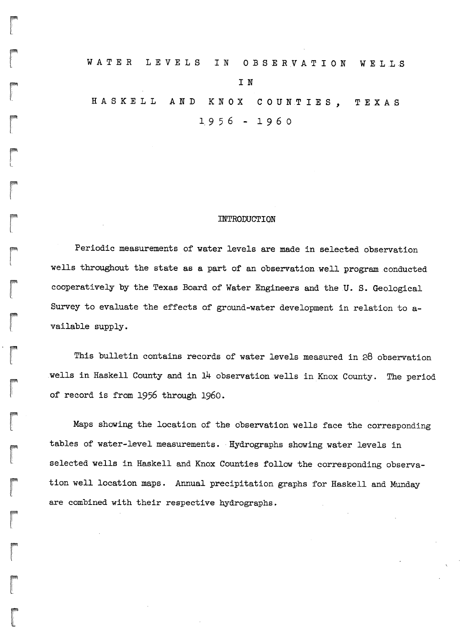# WATER LEVELS IN OBSERVATION WELLS I N HAS K E LL AN D K N OX C 0 U N.T IES, <sup>T</sup> EX AS  $1.956 - 1960$

r

r ':"·······

**reduced** 

ra de la construction de la construction de la construction de la construction de la construction de la construction de la construction de la construction de la construction de la construction de la construction de la cons

r L

r

**rand**<br>|<br>|<br>|

rl.

**results** 

**randon**<br>Lista política de la contectura de la contectura de la contectura de la contectura de la contectura de la conte<br>Lista de la contectura de la contectura de la contectura de la contectura de la contectura de la cont

 $\begin{bmatrix} 1 \\ 1 \end{bmatrix}$ 

r

r

r "<br>"'''<br>'

r<br>|<br>|-

rang<br>|-<br>|-

r<br>|<br>|<br>|

*ii*

or

#### INTRODUCTION

Periodic measurements of water levels are made in selected observation wells throughout the state as a part of an observation.well program.conducted cooperatively by the Texas Board of Water Engineers and the U.S. Geological Survey to evaluate the effects of ground-water development in relation to available supply.

This bulletin contains records of water levels measured in 28 observation wells in Haskell County and in 14 observation wells in Knox County. The period of record is from 1956 through 1960.

Maps showing the location of the observation wells face the corresponding tables of water-level measurements. Hydrographs showing water levels in selected wells in Haskell and Knox Counties follow the corresponding observation well location maps. Annual precipitation graphs for Haskell and Munday are combined with their respective hydrographs.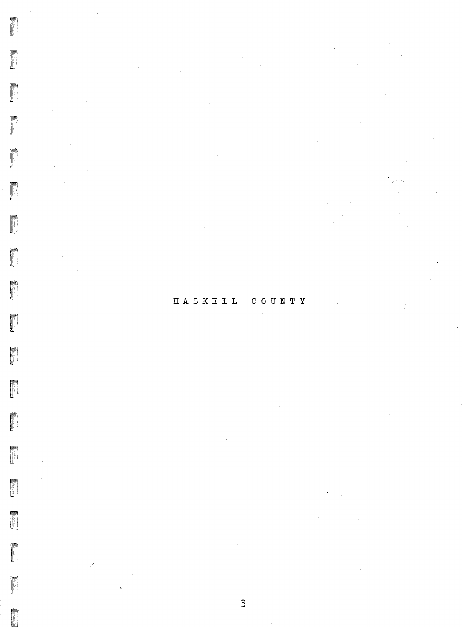#### $H A S K E L L$  $C O U N T T$

**FEBRUARY**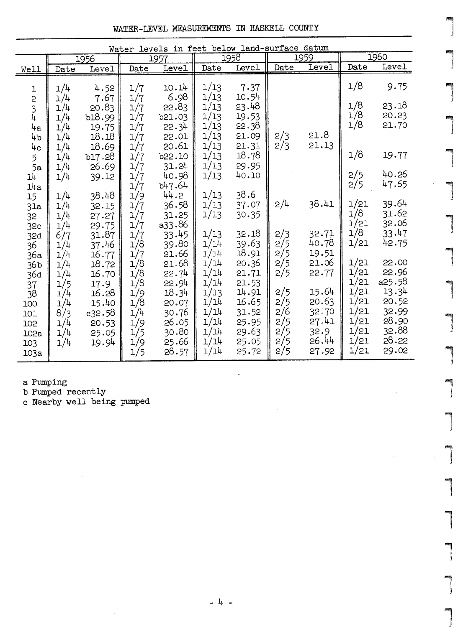|  | WATER-LEVEL MEASUREMENTS IN HASKELL COUNTY |  |  |  |
|--|--------------------------------------------|--|--|--|
|--|--------------------------------------------|--|--|--|

 $\overline{\phantom{a}}$ 

1

1'1:'  $\overline{a}$ 

 $\begin{array}{c} \hline \end{array}$ 

lla<br>L

|<br>|<br>|

., J

1

{ -)'

1

|<br>|-<br>|

1

l"::i

|<br>|<br>|

l

1

|<br>|<br>|

| Water levels in feet below land-surface datum |                                                     |                                                          |                                                      |                                                                     |                                                    |                                                           |                                                   |                                      |                                                                              |
|-----------------------------------------------|-----------------------------------------------------|----------------------------------------------------------|------------------------------------------------------|---------------------------------------------------------------------|----------------------------------------------------|-----------------------------------------------------------|---------------------------------------------------|--------------------------------------|------------------------------------------------------------------------------|
|                                               |                                                     |                                                          |                                                      |                                                                     |                                                    | 1959                                                      |                                                   | 1960                                 |                                                                              |
| Date                                          | Level                                               | Date                                                     | Level                                                | Date                                                                | Level                                              |                                                           |                                                   |                                      | Level                                                                        |
| 1/4                                           | 4.52                                                | 1/7                                                      | 10.14                                                | 1/13                                                                | 7.37                                               |                                                           |                                                   | 1/8                                  | 9.75                                                                         |
| 1/4<br>1/4<br>1/4<br>1/4                      | 20.83<br>b18.99<br>19.75<br>18.18                   | 1/7<br>1/7<br>1/7<br>1/7                                 | 22.83<br>b21.03<br>22.34<br>22.01                    | 1/13<br>1/13<br>1/13<br>1/13                                        | 23.48<br>19.53<br>22.38<br>21.09                   | 2/3                                                       | 21.8                                              | 1/8<br>1/8<br>1/8                    | 23.18<br>20.23<br>21.70                                                      |
| 1/4                                           | b17.28                                              | 1/7                                                      | b22.10                                               | 1/13                                                                | 18.78                                              |                                                           |                                                   | 1/8                                  | 19.77                                                                        |
| 1/4                                           | 39.12                                               | 1/7                                                      | 40.98<br>b47.64                                      | 1/13                                                                | 40.10                                              |                                                           |                                                   | 2/5<br>2/5                           | 40.26<br>47.65                                                               |
| 1/4<br>1/4<br>1/4                             | 38.48<br>32.15<br>27.27                             | 1/9<br>1/7<br>1/7                                        | 44.2<br>36.58<br>31.25                               | 1/13<br>1/13<br>1/13                                                | 37.07<br>30.35                                     | 2/4                                                       | 38.41                                             | 1/21<br>1/8                          | 39.64<br>31.62<br>32.06                                                      |
| 6/7<br>1/4                                    | 31.87<br>37.46                                      | 1/7<br>1/8                                               | 33.45<br>39.80                                       | 1/13<br>1/14                                                        | 32.18<br>39.63                                     | 2/3<br>2/5                                                | 32.71<br>40.78                                    | 1/21                                 | 33.47<br>42.75                                                               |
| 1/4<br>1/4                                    | 18.72<br>16.70                                      | 1/8<br>1/8                                               | 21.68<br>22.74                                       | 1/14<br>1/14                                                        | 20.36<br>21.71<br>21.53                            | 2/5<br>2/5                                                | 21.06<br>22.77                                    | 1/21<br>1/21                         | 22.00<br>22.96<br>a25.58                                                     |
| 1/4<br>1/4<br>8/3<br>1/4<br>1/4<br>1/4        | 16.28<br>15.40<br>c32.58<br>20.53<br>25.05<br>19.94 | 1/9<br>1/8<br>1/4<br>1/9<br>1/5<br>1/9                   | 18.34<br>20.07<br>30.76<br>26.05<br>30.80<br>25.66   | 1/13<br>1/14<br>1/14<br>1/14<br>1/14<br>1/14                        | 14.91<br>16.65<br>31.52<br>25.95<br>29.63<br>25.05 | 2/5<br>2/5<br>2/6<br>2/5<br>2/5<br>2/5                    | 15.64<br>20.63<br>32.70<br>27.41<br>32.9<br>26.44 | 1/21<br>1/21<br>1/21<br>1/21<br>1/21 | 13.34<br>20.52<br>32.99<br>28.90<br>32.88<br>28.22<br>29.02                  |
|                                               | 1/4<br>1/4<br>1/4<br>1/4<br>1/4<br>1/5              | 1956<br>7.67<br>18.69<br>26.69<br>29.75<br>16.77<br>17.9 | 1/7<br>1/7<br>1/7<br>1/7<br>1/7<br>1/7<br>1/8<br>1/5 | 1957<br>6.98<br>20.61<br>31.24<br>a33.86<br>21.66<br>22.94<br>28.57 | 1/13<br>1/13<br>1/13<br>1/14<br>1/14<br>1/14       | 1958<br>10.54<br>21.31<br>29.95<br>38.6<br>18.91<br>25.72 | Date<br>2/3<br>2/5<br>2/5                         | Level<br>21.13<br>19.51<br>27.92     | Date<br>$\begin{array}{c}\n1/21 \\ 1/8\n\end{array}$<br>1/21<br>1/21<br>1/21 |

<sup>a</sup> Pumping

<sup>b</sup> Pumped recently

<sup>c</sup> Nearby well being pumped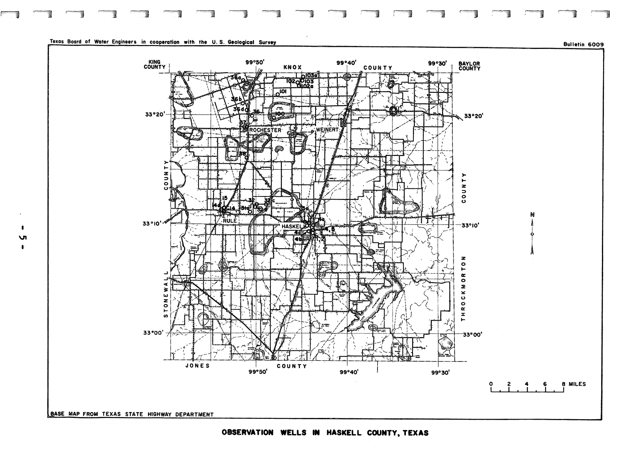

#### Texas Board of Water Engineers in cooperation with the U.S. Geological Survey

**v**  $\bullet$ 

Bulletin 6009



OBSERVATION WELLS IN HASKELL COUNTY, TEXAS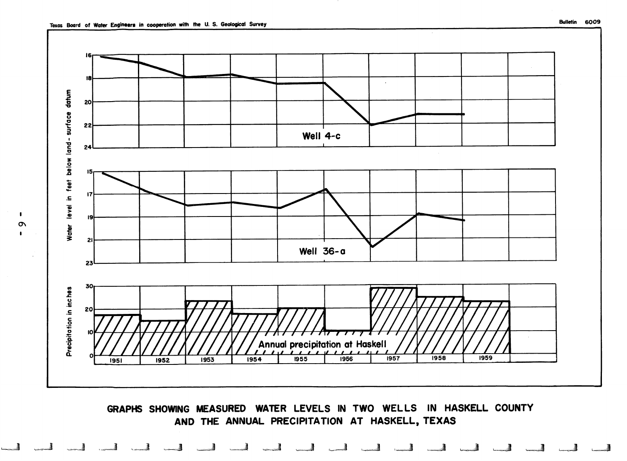$\pmb{\mathsf{I}}$ 



AND THE ANNUAL PRECIPITATION AT HASKELL, TEXAS

لجسا لجسا لجسا لجسا الحسا الحسا الحد الجسا الحسا الحسا المسا المحسا الجما الحما الحمد الحمد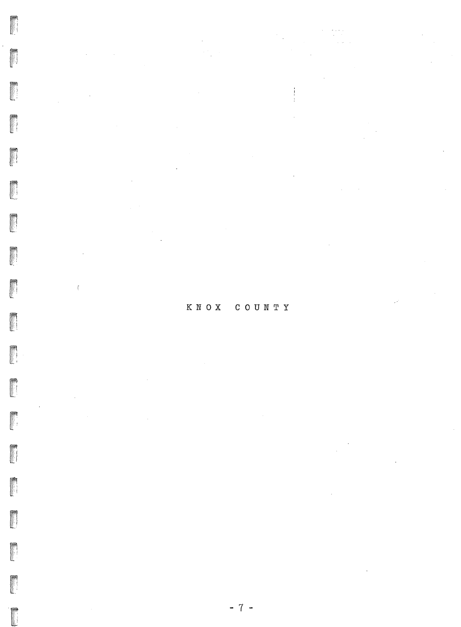# KNOX COUNTY

 $\frac{1}{4}$ 

FREE

**DESCRIPTION** 

**Property** 

 $\hat{\mathbf{f}}$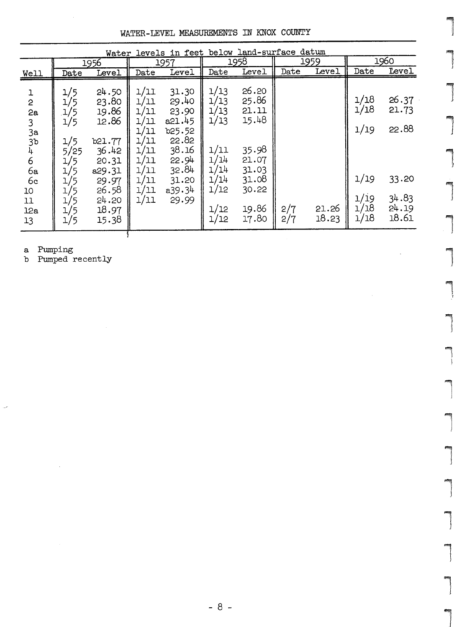WATER-LEVEL MEASUREMENTS IN KNOX COUNTY

| Water levels in feet below land-surface datum                                                       |                                                                                       |                                                                                                                     |                                                                                              |                                                                                                             |                                                                                      |                                                                                                 |            |                |                                                      |                                                             |
|-----------------------------------------------------------------------------------------------------|---------------------------------------------------------------------------------------|---------------------------------------------------------------------------------------------------------------------|----------------------------------------------------------------------------------------------|-------------------------------------------------------------------------------------------------------------|--------------------------------------------------------------------------------------|-------------------------------------------------------------------------------------------------|------------|----------------|------------------------------------------------------|-------------------------------------------------------------|
|                                                                                                     |                                                                                       | 1956                                                                                                                |                                                                                              | 1957                                                                                                        |                                                                                      | 1958                                                                                            |            | 1959           |                                                      | 1960                                                        |
| Well                                                                                                | Date                                                                                  | Level                                                                                                               | Date                                                                                         | Level                                                                                                       | Date                                                                                 | Level                                                                                           | Date       | Level          | Date                                                 | <b>Level</b>                                                |
| $\mathbf 1$<br>$\overline{c}$<br>2a<br>3<br>3a<br>3b<br>4<br>6<br>бa<br>6c<br>10<br>11<br>12a<br>13 | 1/5<br>1/5<br>1/5<br>1/5<br>1/5<br>5/25<br>1/5<br>1/5<br>15<br>15<br>'5<br>1/5<br>1/5 | 24.50<br>23.80<br>19.86<br>12.86<br>b21.77<br>36.42<br>20.31<br>a29.31<br>29.97<br>26.58<br>24.20<br>18.97<br>15.38 | 1/11<br>1/11<br>1/11<br>1/11<br>1/11<br>1/11<br>בב/ב<br>1/11<br>1/11<br>1/11<br>1/11<br>1/11 | 31.30<br>29.40<br>23.90<br>a21.45<br>b25.52<br>22.82<br>38.16<br>22.94<br>32.84<br>31.20<br>a39.34<br>29.99 | 1/13<br>1/13<br>1/13<br>1/13<br>1/11<br>1/14<br>1/14<br>1/14<br>1/12<br>1/12<br>1/12 | 26.20<br>25.86<br>21.11<br>15.48<br>35.98<br>21.07<br>31.03<br>31.08<br>30.22<br>19.86<br>17.80 | 2/7<br>2/7 | 21.26<br>18.23 | 1/18<br>1/18<br>1/19<br>1/19<br>1/i9<br>1/18<br>1/18 | 26.37<br>21.73<br>22.88<br>33.20<br>34.83<br>24.19<br>18.61 |

a Pumping<br>b Pumped recently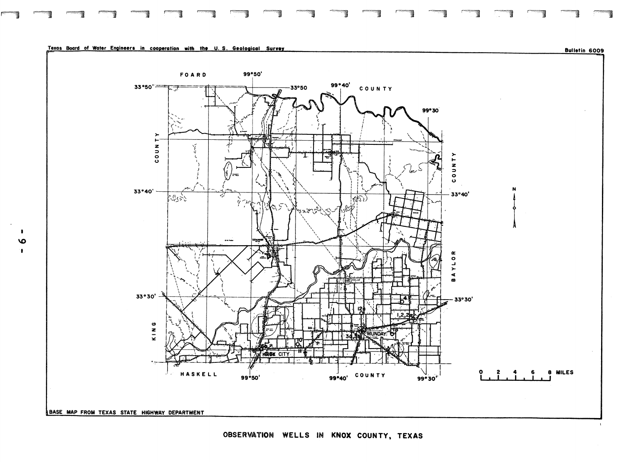

Texas Board of Water Engineers in cooperation with the U.S. Geological Survey

 $\mathbf{I}$  $\bullet$  $\mathbf{L}$ 



OBSERVATION WELLS IN KNOX COUNTY, TEXAS